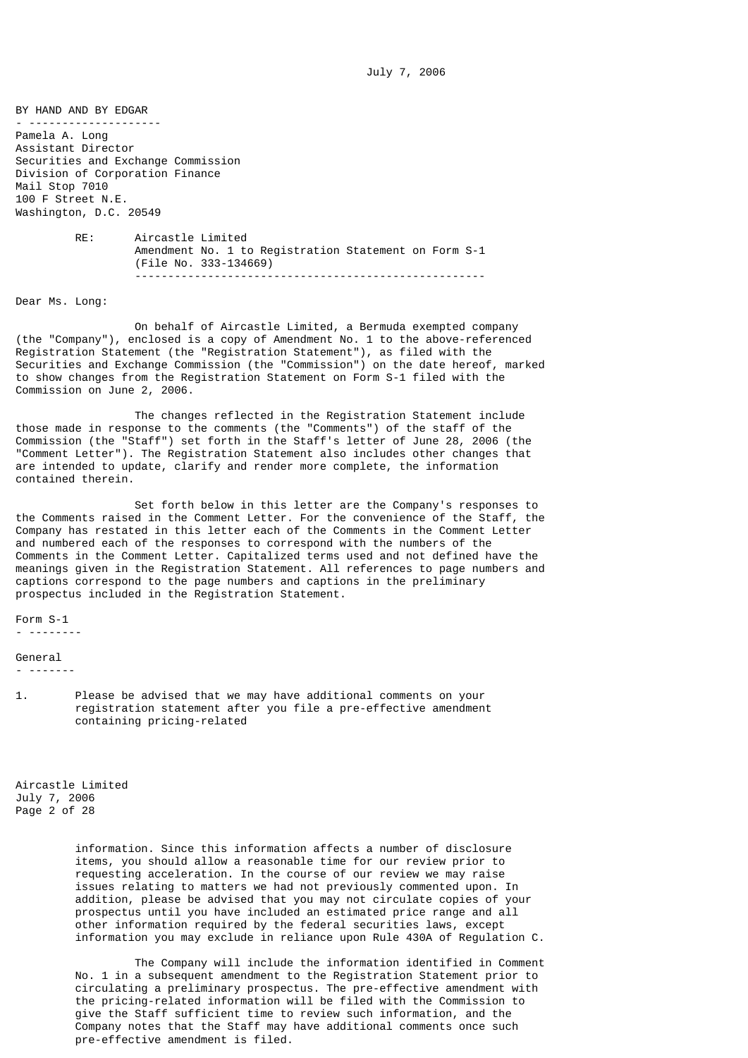BY HAND AND BY EDGAR - -------------------- Pamela A. Long Assistant Director Securities and Exchange Commission Division of Corporation Finance Mail Stop 7010 100 F Street N.E. Washington, D.C. 20549 RE: Aircastle Limited Amendment No. 1 to Registration Statement on Form S-1 (File No. 333-134669) -----------------------------------------------------

Dear Ms. Long:

 On behalf of Aircastle Limited, a Bermuda exempted company (the "Company"), enclosed is a copy of Amendment No. 1 to the above-referenced Registration Statement (the "Registration Statement"), as filed with the Securities and Exchange Commission (the "Commission") on the date hereof, marked to show changes from the Registration Statement on Form S-1 filed with the Commission on June 2, 2006.

 The changes reflected in the Registration Statement include those made in response to the comments (the "Comments") of the staff of the Commission (the "Staff") set forth in the Staff's letter of June 28, 2006 (the "Comment Letter"). The Registration Statement also includes other changes that are intended to update, clarify and render more complete, the information contained therein.

 Set forth below in this letter are the Company's responses to the Comments raised in the Comment Letter. For the convenience of the Staff, the Company has restated in this letter each of the Comments in the Comment Letter and numbered each of the responses to correspond with the numbers of the Comments in the Comment Letter. Capitalized terms used and not defined have the meanings given in the Registration Statement. All references to page numbers and captions correspond to the page numbers and captions in the preliminary prospectus included in the Registration Statement.

Form S-1 - --------

General

- -------
- 1. Please be advised that we may have additional comments on your registration statement after you file a pre-effective amendment containing pricing-related

Aircastle Limited July 7, 2006 Page 2 of 28

> information. Since this information affects a number of disclosure items, you should allow a reasonable time for our review prior to requesting acceleration. In the course of our review we may raise issues relating to matters we had not previously commented upon. In addition, please be advised that you may not circulate copies of your prospectus until you have included an estimated price range and all other information required by the federal securities laws, except information you may exclude in reliance upon Rule 430A of Regulation C.

> The Company will include the information identified in Comment No. 1 in a subsequent amendment to the Registration Statement prior to circulating a preliminary prospectus. The pre-effective amendment with the pricing-related information will be filed with the Commission to give the Staff sufficient time to review such information, and the Company notes that the Staff may have additional comments once such pre-effective amendment is filed.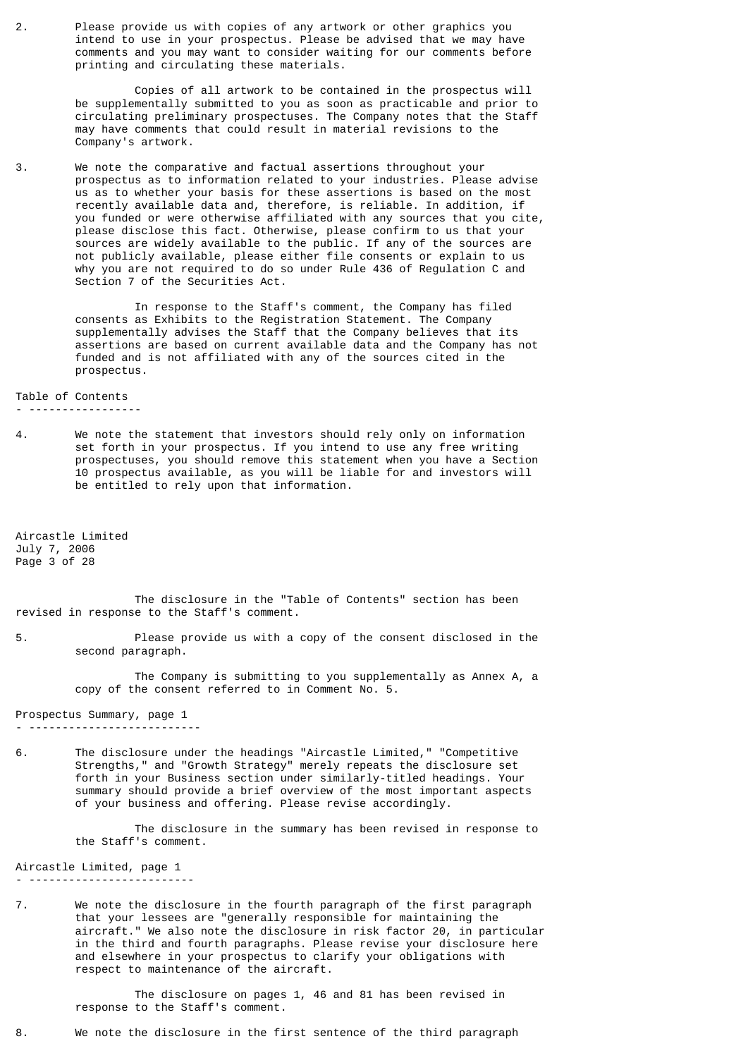2. Please provide us with copies of any artwork or other graphics you intend to use in your prospectus. Please be advised that we may have comments and you may want to consider waiting for our comments before printing and circulating these materials.

> Copies of all artwork to be contained in the prospectus will be supplementally submitted to you as soon as practicable and prior to circulating preliminary prospectuses. The Company notes that the Staff may have comments that could result in material revisions to the Company's artwork.

3. We note the comparative and factual assertions throughout your prospectus as to information related to your industries. Please advise us as to whether your basis for these assertions is based on the most recently available data and, therefore, is reliable. In addition, if you funded or were otherwise affiliated with any sources that you cite, please disclose this fact. Otherwise, please confirm to us that your sources are widely available to the public. If any of the sources are not publicly available, please either file consents or explain to us why you are not required to do so under Rule 436 of Regulation C and Section 7 of the Securities Act.

> In response to the Staff's comment, the Company has filed consents as Exhibits to the Registration Statement. The Company supplementally advises the Staff that the Company believes that its assertions are based on current available data and the Company has not funded and is not affiliated with any of the sources cited in the prospectus.

Table of Contents

- -----------------
- 4. We note the statement that investors should rely only on information set forth in your prospectus. If you intend to use any free writing prospectuses, you should remove this statement when you have a Section 10 prospectus available, as you will be liable for and investors will be entitled to rely upon that information.

Aircastle Limited July 7, 2006 Page 3 of 28

 The disclosure in the "Table of Contents" section has been revised in response to the Staff's comment.

5. Please provide us with a copy of the consent disclosed in the second paragraph.

> The Company is submitting to you supplementally as Annex A, a copy of the consent referred to in Comment No. 5.

Prospectus Summary, page 1 - --------------------------

6. The disclosure under the headings "Aircastle Limited," "Competitive Strengths," and "Growth Strategy" merely repeats the disclosure set forth in your Business section under similarly-titled headings. Your summary should provide a brief overview of the most important aspects of your business and offering. Please revise accordingly.

> The disclosure in the summary has been revised in response to the Staff's comment.

Aircastle Limited, page 1 - -------------------------

7. We note the disclosure in the fourth paragraph of the first paragraph that your lessees are "generally responsible for maintaining the aircraft." We also note the disclosure in risk factor 20, in particular in the third and fourth paragraphs. Please revise your disclosure here and elsewhere in your prospectus to clarify your obligations with respect to maintenance of the aircraft.

> The disclosure on pages 1, 46 and 81 has been revised in response to the Staff's comment.

8. We note the disclosure in the first sentence of the third paragraph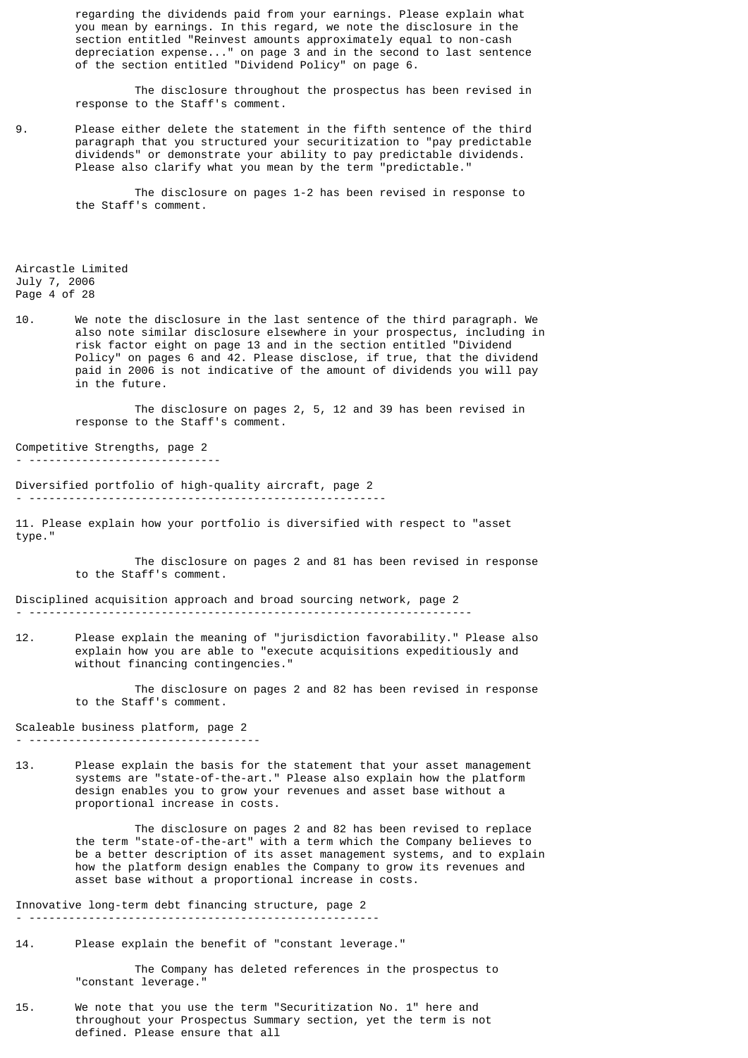regarding the dividends paid from your earnings. Please explain what you mean by earnings. In this regard, we note the disclosure in the section entitled "Reinvest amounts approximately equal to non-cash depreciation expense..." on page 3 and in the second to last sentence of the section entitled "Dividend Policy" on page 6.

 The disclosure throughout the prospectus has been revised in response to the Staff's comment.

9. Please either delete the statement in the fifth sentence of the third paragraph that you structured your securitization to "pay predictable dividends" or demonstrate your ability to pay predictable dividends. Please also clarify what you mean by the term "predictable."

> The disclosure on pages 1-2 has been revised in response to the Staff's comment.

Aircastle Limited July 7, 2006 Page 4 of 28

10. We note the disclosure in the last sentence of the third paragraph. We also note similar disclosure elsewhere in your prospectus, including in risk factor eight on page 13 and in the section entitled "Dividend Policy" on pages 6 and 42. Please disclose, if true, that the dividend paid in 2006 is not indicative of the amount of dividends you will pay in the future.

> The disclosure on pages 2, 5, 12 and 39 has been revised in response to the Staff's comment.

Competitive Strengths, page 2 - -----------------------------

Diversified portfolio of high-quality aircraft, page 2 - ------------------------------------------------------

11. Please explain how your portfolio is diversified with respect to "asset type."

 The disclosure on pages 2 and 81 has been revised in response to the Staff's comment.

Disciplined acquisition approach and broad sourcing network, page 2 - -------------------------------------------------------------------

12. Please explain the meaning of "jurisdiction favorability." Please also explain how you are able to "execute acquisitions expeditiously and without financing contingencies.'

> The disclosure on pages 2 and 82 has been revised in response to the Staff's comment.

Scaleable business platform, page 2 - -----------------------------------

13. Please explain the basis for the statement that your asset management systems are "state-of-the-art." Please also explain how the platform design enables you to grow your revenues and asset base without a proportional increase in costs.

> The disclosure on pages 2 and 82 has been revised to replace the term "state-of-the-art" with a term which the Company believes to be a better description of its asset management systems, and to explain how the platform design enables the Company to grow its revenues and asset base without a proportional increase in costs.

Innovative long-term debt financing structure, page 2 - -----------------------------------------------------

14. Please explain the benefit of "constant leverage."

 The Company has deleted references in the prospectus to "constant leverage."

15. We note that you use the term "Securitization No. 1" here and throughout your Prospectus Summary section, yet the term is not defined. Please ensure that all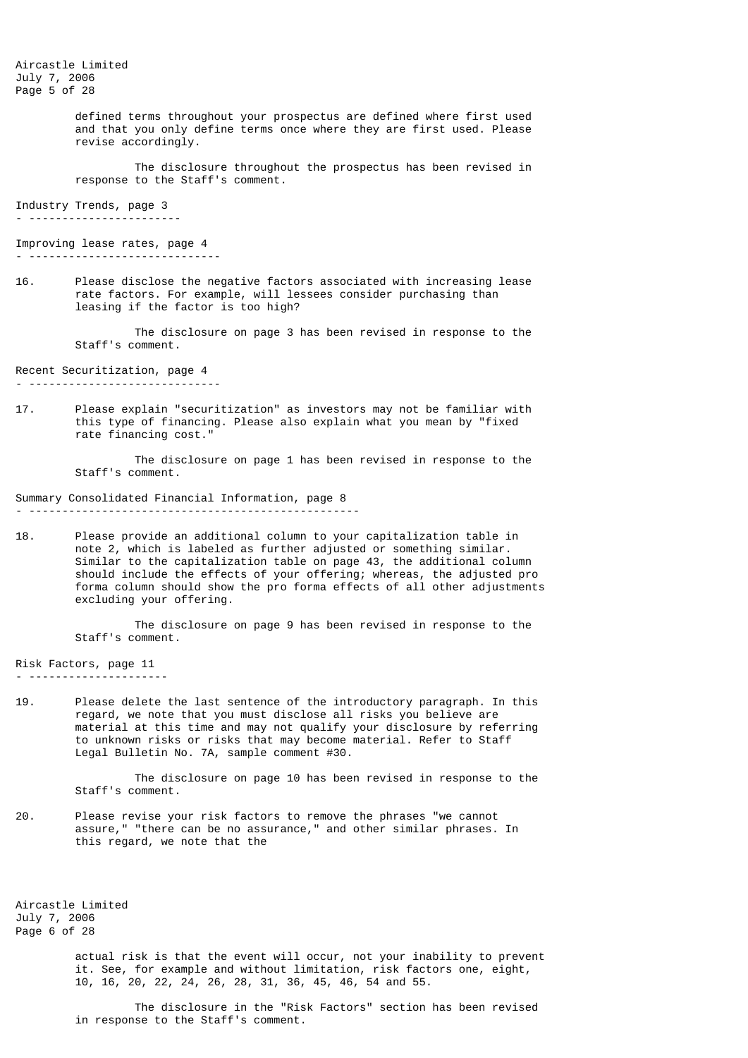Aircastle Limited July 7, 2006 Page 5 of 28

> defined terms throughout your prospectus are defined where first used and that you only define terms once where they are first used. Please revise accordingly.

> The disclosure throughout the prospectus has been revised in response to the Staff's comment.

Industry Trends, page 3 - -----------------------

Improving lease rates, page 4

- -----------------------------

16. Please disclose the negative factors associated with increasing lease rate factors. For example, will lessees consider purchasing than leasing if the factor is too high?

> The disclosure on page 3 has been revised in response to the Staff's comment.

Recent Securitization, page 4

- -----------------------------

17. Please explain "securitization" as investors may not be familiar with this type of financing. Please also explain what you mean by "fixed rate financing cost."

> The disclosure on page 1 has been revised in response to the Staff's comment.

Summary Consolidated Financial Information, page 8 - --------------------------------------------------

18. Please provide an additional column to your capitalization table in note 2, which is labeled as further adjusted or something similar. Similar to the capitalization table on page 43, the additional column should include the effects of your offering; whereas, the adjusted pro forma column should show the pro forma effects of all other adjustments excluding your offering.

> The disclosure on page 9 has been revised in response to the Staff's comment.

Risk Factors, page 11 - ---------------------

19. Please delete the last sentence of the introductory paragraph. In this regard, we note that you must disclose all risks you believe are material at this time and may not qualify your disclosure by referring to unknown risks or risks that may become material. Refer to Staff Legal Bulletin No. 7A, sample comment #30.

> The disclosure on page 10 has been revised in response to the Staff's comment.

20. Please revise your risk factors to remove the phrases "we cannot assure," "there can be no assurance," and other similar phrases. In this regard, we note that the

Aircastle Limited July 7, 2006 Page 6 of 28

> actual risk is that the event will occur, not your inability to prevent it. See, for example and without limitation, risk factors one, eight, 10, 16, 20, 22, 24, 26, 28, 31, 36, 45, 46, 54 and 55.

 The disclosure in the "Risk Factors" section has been revised in response to the Staff's comment.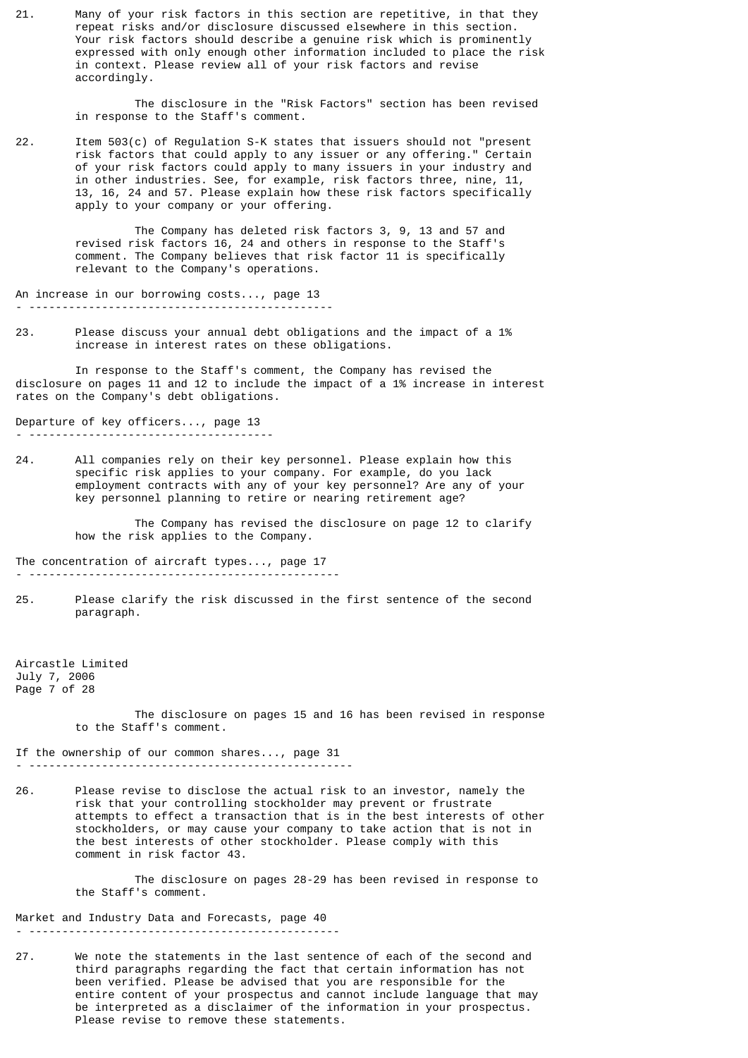21. Many of your risk factors in this section are repetitive, in that they repeat risks and/or disclosure discussed elsewhere in this section. Your risk factors should describe a genuine risk which is prominently expressed with only enough other information included to place the risk in context. Please review all of your risk factors and revise accordingly.

> The disclosure in the "Risk Factors" section has been revised in response to the Staff's comment.

22. Item 503(c) of Regulation S-K states that issuers should not "present risk factors that could apply to any issuer or any offering." Certain of your risk factors could apply to many issuers in your industry and in other industries. See, for example, risk factors three, nine, 11, 13, 16, 24 and 57. Please explain how these risk factors specifically apply to your company or your offering.

> The Company has deleted risk factors 3, 9, 13 and 57 and revised risk factors 16, 24 and others in response to the Staff's comment. The Company believes that risk factor 11 is specifically relevant to the Company's operations.

An increase in our borrowing costs..., page 13 - ----------------------------------------------

23. Please discuss your annual debt obligations and the impact of a 1% increase in interest rates on these obligations.

 In response to the Staff's comment, the Company has revised the disclosure on pages 11 and 12 to include the impact of a 1% increase in interest rates on the Company's debt obligations.

Departure of key officers..., page 13 - -------------------------------------

24. All companies rely on their key personnel. Please explain how this specific risk applies to your company. For example, do you lack employment contracts with any of your key personnel? Are any of your key personnel planning to retire or nearing retirement age?

> The Company has revised the disclosure on page 12 to clarify how the risk applies to the Company.

The concentration of aircraft types..., page 17

- -----------------------------------------------
- 25. Please clarify the risk discussed in the first sentence of the second paragraph.

Aircastle Limited July 7, 2006 Page 7 of 28

> The disclosure on pages 15 and 16 has been revised in response to the Staff's comment.

If the ownership of our common shares..., page 31 - -------------------------------------------------

26. Please revise to disclose the actual risk to an investor, namely the risk that your controlling stockholder may prevent or frustrate attempts to effect a transaction that is in the best interests of other stockholders, or may cause your company to take action that is not in the best interests of other stockholder. Please comply with this comment in risk factor 43.

> The disclosure on pages 28-29 has been revised in response to the Staff's comment.

Market and Industry Data and Forecasts, page 40 - -----------------------------------------------

27. We note the statements in the last sentence of each of the second and third paragraphs regarding the fact that certain information has not been verified. Please be advised that you are responsible for the entire content of your prospectus and cannot include language that may be interpreted as a disclaimer of the information in your prospectus. Please revise to remove these statements.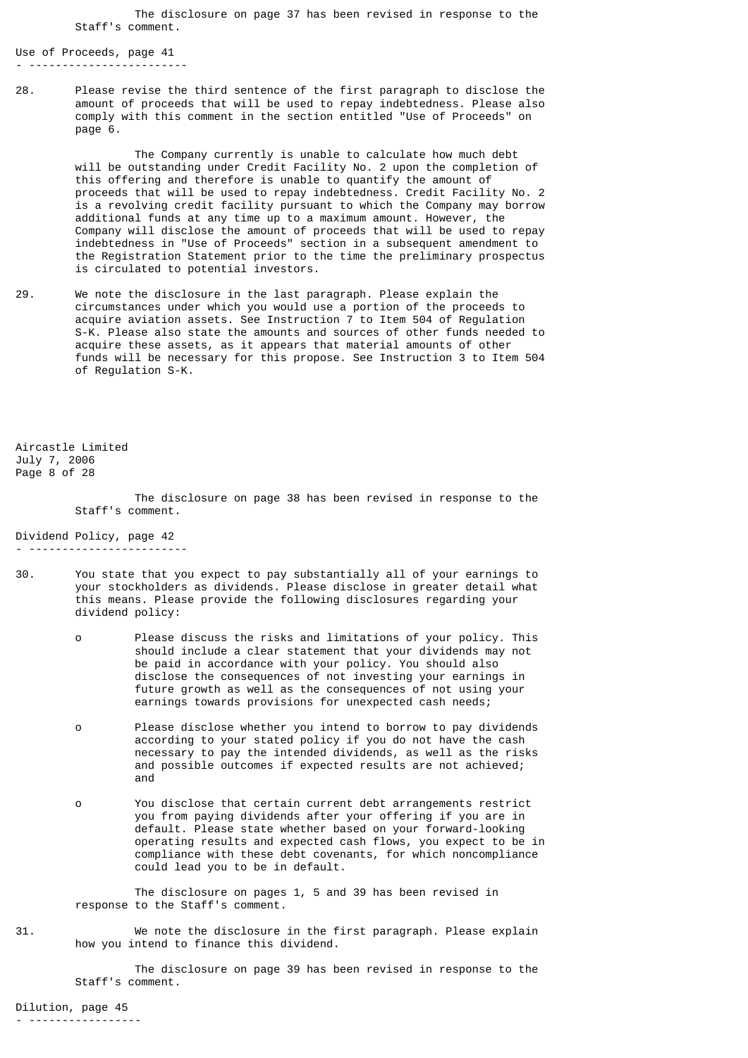The disclosure on page 37 has been revised in response to the Staff's comment.

Use of Proceeds, page 41 - ------------------------

28. Please revise the third sentence of the first paragraph to disclose the amount of proceeds that will be used to repay indebtedness. Please also comply with this comment in the section entitled "Use of Proceeds" on page 6.

 The Company currently is unable to calculate how much debt will be outstanding under Credit Facility No. 2 upon the completion of this offering and therefore is unable to quantify the amount of proceeds that will be used to repay indebtedness. Credit Facility No. 2 is a revolving credit facility pursuant to which the Company may borrow additional funds at any time up to a maximum amount. However, the Company will disclose the amount of proceeds that will be used to repay indebtedness in "Use of Proceeds" section in a subsequent amendment to the Registration Statement prior to the time the preliminary prospectus is circulated to potential investors.

29. We note the disclosure in the last paragraph. Please explain the circumstances under which you would use a portion of the proceeds to acquire aviation assets. See Instruction 7 to Item 504 of Regulation S-K. Please also state the amounts and sources of other funds needed to acquire these assets, as it appears that material amounts of other funds will be necessary for this propose. See Instruction 3 to Item 504 of Regulation S-K.

Aircastle Limited July 7, 2006 Page 8 of 28

- ------------------------

 The disclosure on page 38 has been revised in response to the Staff's comment.

Dividend Policy, page 42

- 30. You state that you expect to pay substantially all of your earnings to your stockholders as dividends. Please disclose in greater detail what this means. Please provide the following disclosures regarding your dividend policy:
	- o Please discuss the risks and limitations of your policy. This should include a clear statement that your dividends may not be paid in accordance with your policy. You should also disclose the consequences of not investing your earnings in future growth as well as the consequences of not using your earnings towards provisions for unexpected cash needs;
	- o Please disclose whether you intend to borrow to pay dividends according to your stated policy if you do not have the cash necessary to pay the intended dividends, as well as the risks and possible outcomes if expected results are not achieved; and
	- o You disclose that certain current debt arrangements restrict you from paying dividends after your offering if you are in default. Please state whether based on your forward-looking operating results and expected cash flows, you expect to be in compliance with these debt covenants, for which noncompliance could lead you to be in default.

 The disclosure on pages 1, 5 and 39 has been revised in response to the Staff's comment.

31. We note the disclosure in the first paragraph. Please explain how you intend to finance this dividend.

> The disclosure on page 39 has been revised in response to the Staff's comment.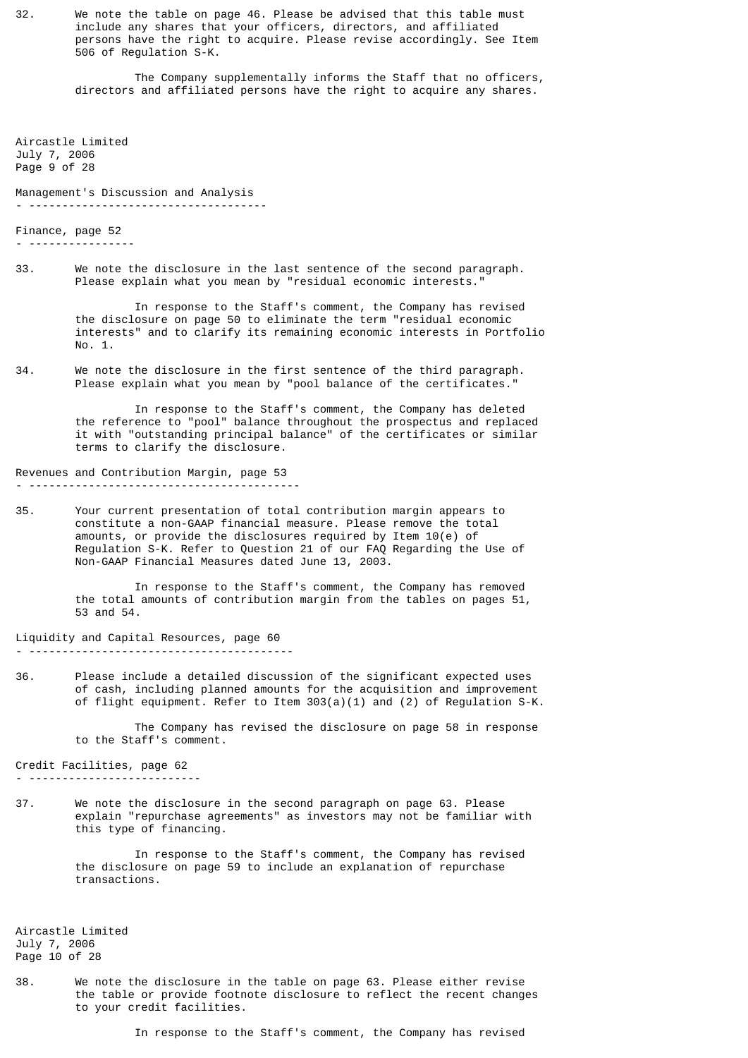32. We note the table on page 46. Please be advised that this table must include any shares that your officers, directors, and affiliated persons have the right to acquire. Please revise accordingly. See Item 506 of Regulation S-K.

> The Company supplementally informs the Staff that no officers, directors and affiliated persons have the right to acquire any shares.

Aircastle Limited July 7, 2006 Page 9 of 28

Management's Discussion and Analysis - ------------------------------------

Finance, page 52

- ----------------

33. We note the disclosure in the last sentence of the second paragraph. Please explain what you mean by "residual economic interests."

> In response to the Staff's comment, the Company has revised the disclosure on page 50 to eliminate the term "residual economic interests" and to clarify its remaining economic interests in Portfolio No. 1.

34. We note the disclosure in the first sentence of the third paragraph. Please explain what you mean by "pool balance of the certificates."

> In response to the Staff's comment, the Company has deleted the reference to "pool" balance throughout the prospectus and replaced it with "outstanding principal balance" of the certificates or similar terms to clarify the disclosure.

Revenues and Contribution Margin, page 53 - -----------------------------------------

35. Your current presentation of total contribution margin appears to constitute a non-GAAP financial measure. Please remove the total amounts, or provide the disclosures required by Item 10(e) of Regulation S-K. Refer to Question 21 of our FAQ Regarding the Use of Non-GAAP Financial Measures dated June 13, 2003.

> In response to the Staff's comment, the Company has removed the total amounts of contribution margin from the tables on pages 51, 53 and 54.

Liquidity and Capital Resources, page 60 - ----------------------------------------

36. Please include a detailed discussion of the significant expected uses of cash, including planned amounts for the acquisition and improvement of flight equipment. Refer to Item 303(a)(1) and (2) of Regulation S-K.

> The Company has revised the disclosure on page 58 in response to the Staff's comment.

Credit Facilities, page 62 - --------------------------

- 37. We note the disclosure in the second paragraph on page 63. Please
	- explain "repurchase agreements" as investors may not be familiar with this type of financing.

 In response to the Staff's comment, the Company has revised the disclosure on page 59 to include an explanation of repurchase transactions.

Aircastle Limited July 7, 2006 Page 10 of 28

38. We note the disclosure in the table on page 63. Please either revise the table or provide footnote disclosure to reflect the recent changes to your credit facilities.

In response to the Staff's comment, the Company has revised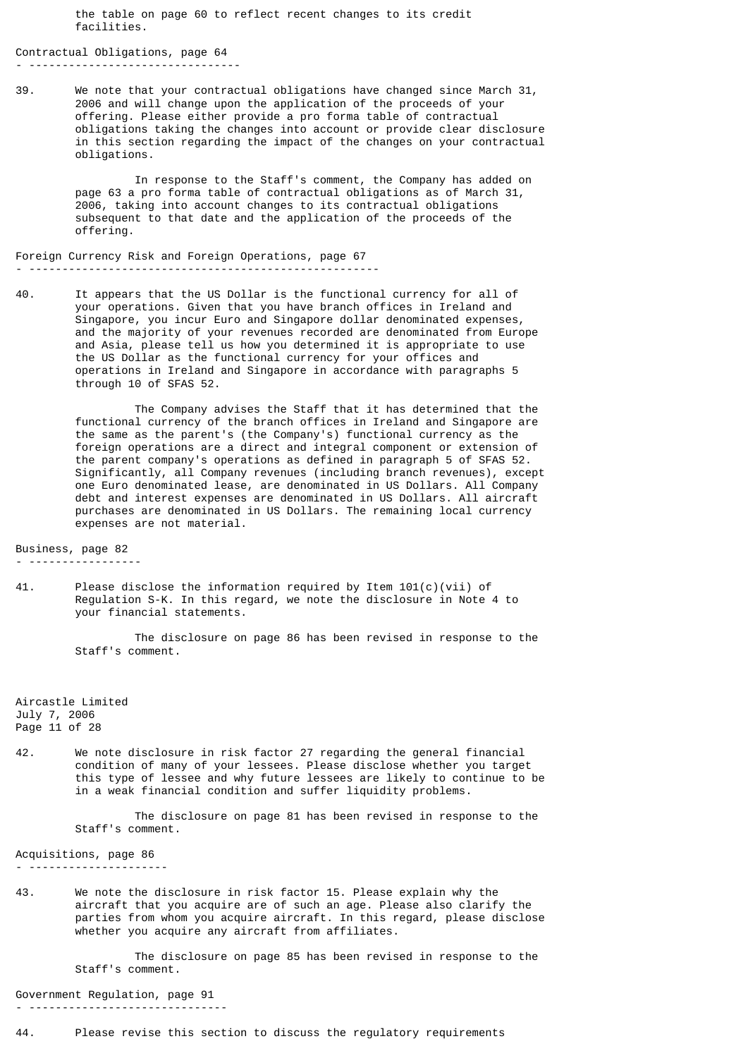the table on page 60 to reflect recent changes to its credit facilities.

Contractual Obligations, page 64 - --------------------------------

39. We note that your contractual obligations have changed since March 31, 2006 and will change upon the application of the proceeds of your offering. Please either provide a pro forma table of contractual obligations taking the changes into account or provide clear disclosure in this section regarding the impact of the changes on your contractual obligations.

> In response to the Staff's comment, the Company has added on page 63 a pro forma table of contractual obligations as of March 31, 2006, taking into account changes to its contractual obligations subsequent to that date and the application of the proceeds of the offering.

Foreign Currency Risk and Foreign Operations, page 67 - -----------------------------------------------------

40. It appears that the US Dollar is the functional currency for all of your operations. Given that you have branch offices in Ireland and Singapore, you incur Euro and Singapore dollar denominated expenses, and the majority of your revenues recorded are denominated from Europe and Asia, please tell us how you determined it is appropriate to use the US Dollar as the functional currency for your offices and operations in Ireland and Singapore in accordance with paragraphs 5 through 10 of SFAS 52.

> The Company advises the Staff that it has determined that the functional currency of the branch offices in Ireland and Singapore are the same as the parent's (the Company's) functional currency as the foreign operations are a direct and integral component or extension of the parent company's operations as defined in paragraph 5 of SFAS 52. Significantly, all Company revenues (including branch revenues), except one Euro denominated lease, are denominated in US Dollars. All Company debt and interest expenses are denominated in US Dollars. All aircraft purchases are denominated in US Dollars. The remaining local currency expenses are not material.

Business, page 82

- -----------------

41. Please disclose the information required by Item  $101(c)(vii)$  of Regulation S-K. In this regard, we note the disclosure in Note 4 to your financial statements.

> The disclosure on page 86 has been revised in response to the Staff's comment.

Aircastle Limited July 7, 2006 Page 11 of 28

42. We note disclosure in risk factor 27 regarding the general financial condition of many of your lessees. Please disclose whether you target this type of lessee and why future lessees are likely to continue to be in a weak financial condition and suffer liquidity problems.

> The disclosure on page 81 has been revised in response to the Staff's comment.

Acquisitions, page 86 - ---------------------

43. We note the disclosure in risk factor 15. Please explain why the aircraft that you acquire are of such an age. Please also clarify the parties from whom you acquire aircraft. In this regard, please disclose whether you acquire any aircraft from affiliates.

> The disclosure on page 85 has been revised in response to the Staff's comment.

Government Regulation, page 91 - ------------------------------

44. Please revise this section to discuss the regulatory requirements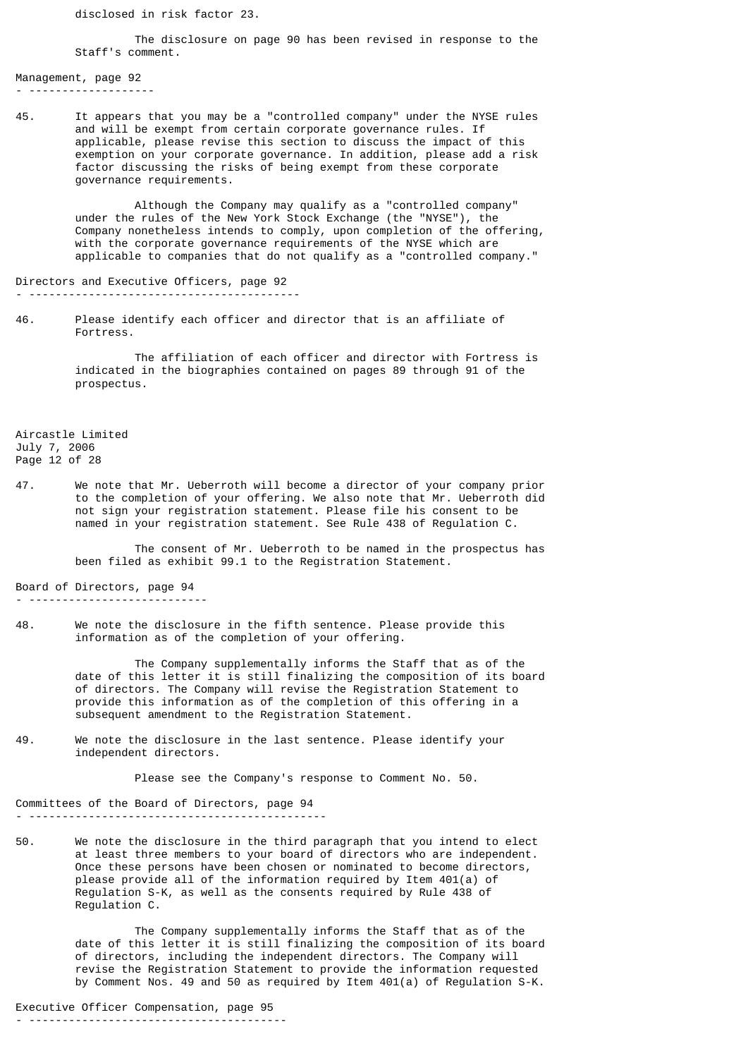disclosed in risk factor 23.

 The disclosure on page 90 has been revised in response to the Staff's comment.

Management, page 92 - -------------------

45. It appears that you may be a "controlled company" under the NYSE rules and will be exempt from certain corporate governance rules. If applicable, please revise this section to discuss the impact of this exemption on your corporate governance. In addition, please add a risk factor discussing the risks of being exempt from these corporate governance requirements.

> Although the Company may qualify as a "controlled company" under the rules of the New York Stock Exchange (the "NYSE"), the Company nonetheless intends to comply, upon completion of the offering, with the corporate governance requirements of the NYSE which are applicable to companies that do not qualify as a "controlled company."

Directors and Executive Officers, page 92 - -----------------------------------------

46. Please identify each officer and director that is an affiliate of Fortress.

> The affiliation of each officer and director with Fortress is indicated in the biographies contained on pages 89 through 91 of the prospectus.

Aircastle Limited July 7, 2006 Page 12 of 28

47. We note that Mr. Ueberroth will become a director of your company prior to the completion of your offering. We also note that Mr. Ueberroth did not sign your registration statement. Please file his consent to be named in your registration statement. See Rule 438 of Regulation C.

> The consent of Mr. Ueberroth to be named in the prospectus has been filed as exhibit 99.1 to the Registration Statement.

Board of Directors, page 94

- ---------------------------
- 48. We note the disclosure in the fifth sentence. Please provide this information as of the completion of your offering.

 The Company supplementally informs the Staff that as of the date of this letter it is still finalizing the composition of its board of directors. The Company will revise the Registration Statement to provide this information as of the completion of this offering in a subsequent amendment to the Registration Statement.

49. We note the disclosure in the last sentence. Please identify your independent directors.

Please see the Company's response to Comment No. 50.

Committees of the Board of Directors, page 94 - ---------------------------------------------

50. We note the disclosure in the third paragraph that you intend to elect at least three members to your board of directors who are independent. Once these persons have been chosen or nominated to become directors, please provide all of the information required by Item 401(a) of Regulation S-K, as well as the consents required by Rule 438 of Regulation C.

> The Company supplementally informs the Staff that as of the date of this letter it is still finalizing the composition of its board of directors, including the independent directors. The Company will revise the Registration Statement to provide the information requested by Comment Nos. 49 and 50 as required by Item 401(a) of Regulation S-K.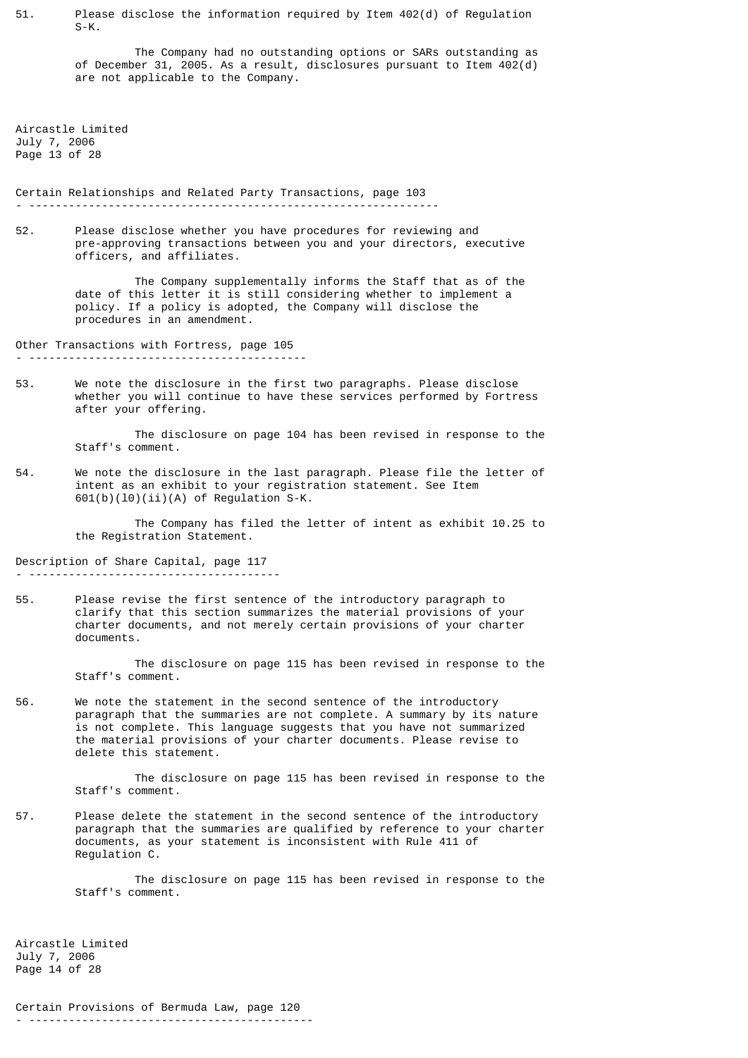51. Please disclose the information required by Item 402(d) of Regulation  $S-K$ .

> The Company had no outstanding options or SARs outstanding as of December 31, 2005. As a result, disclosures pursuant to Item 402(d) are not applicable to the Company.

Aircastle Limited July 7, 2006 Page 13 of 28

Certain Relationships and Related Party Transactions, page 103 - --------------------------------------------------------------

52. Please disclose whether you have procedures for reviewing and pre-approving transactions between you and your directors, executive officers, and affiliates.

> The Company supplementally informs the Staff that as of the date of this letter it is still considering whether to implement a policy. If a policy is adopted, the Company will disclose the procedures in an amendment.

Other Transactions with Fortress, page 105

- ------------------------------------------

53. We note the disclosure in the first two paragraphs. Please disclose whether you will continue to have these services performed by Fortress after your offering.

> The disclosure on page 104 has been revised in response to the Staff's comment.

54. We note the disclosure in the last paragraph. Please file the letter of intent as an exhibit to your registration statement. See Item  $601(b)(10)(ii)(A)$  of Regulation S-K.

 The Company has filed the letter of intent as exhibit 10.25 to the Registration Statement.

Description of Share Capital, page 117

- --------------------------------------

55. Please revise the first sentence of the introductory paragraph to clarify that this section summarizes the material provisions of your charter documents, and not merely certain provisions of your charter documents.

> The disclosure on page 115 has been revised in response to the Staff's comment.

56. We note the statement in the second sentence of the introductory paragraph that the summaries are not complete. A summary by its nature is not complete. This language suggests that you have not summarized the material provisions of your charter documents. Please revise to delete this statement.

> The disclosure on page 115 has been revised in response to the Staff's comment.

57. Please delete the statement in the second sentence of the introductory paragraph that the summaries are qualified by reference to your charter documents, as your statement is inconsistent with Rule 411 of Regulation C.

> The disclosure on page 115 has been revised in response to the Staff's comment.

Aircastle Limited July 7, 2006 Page 14 of 28

Certain Provisions of Bermuda Law, page 120 - -------------------------------------------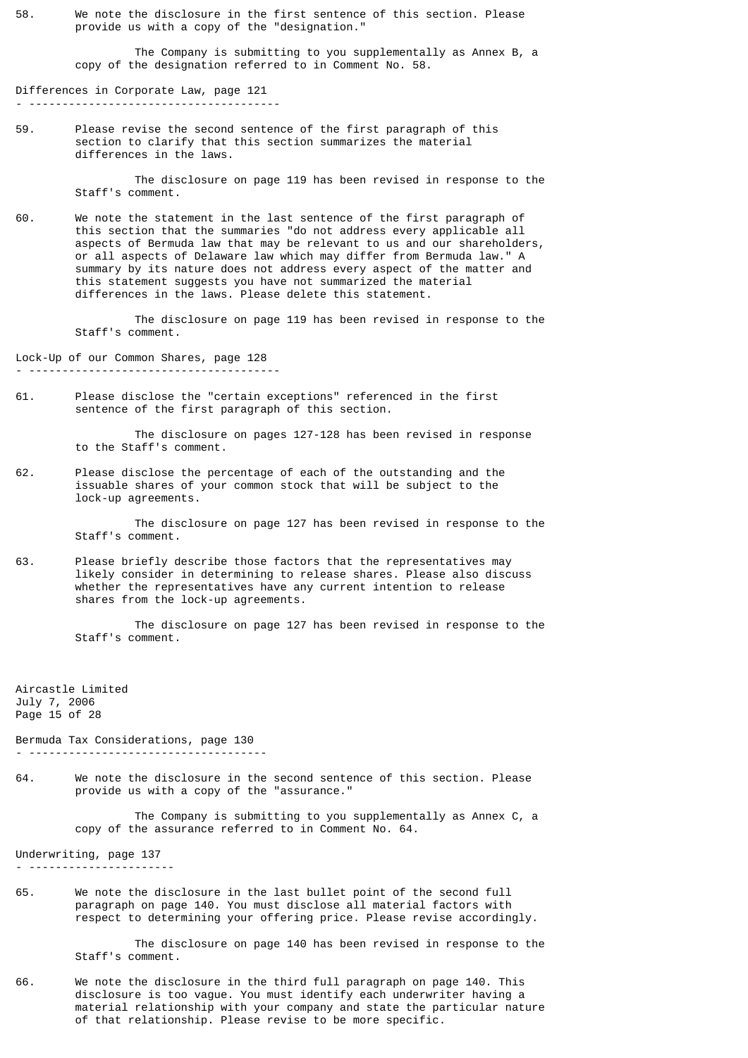58. We note the disclosure in the first sentence of this section. Please provide us with a copy of the "designation."

> The Company is submitting to you supplementally as Annex B, a copy of the designation referred to in Comment No. 58.

Differences in Corporate Law, page 121 - --------------------------------------

59. Please revise the second sentence of the first paragraph of this section to clarify that this section summarizes the material differences in the laws.

> The disclosure on page 119 has been revised in response to the Staff's comment.

60. We note the statement in the last sentence of the first paragraph of this section that the summaries "do not address every applicable all aspects of Bermuda law that may be relevant to us and our shareholders, or all aspects of Delaware law which may differ from Bermuda law." A summary by its nature does not address every aspect of the matter and this statement suggests you have not summarized the material differences in the laws. Please delete this statement.

> The disclosure on page 119 has been revised in response to the Staff's comment.

Lock-Up of our Common Shares, page 128 - --------------------------------------

61. Please disclose the "certain exceptions" referenced in the first sentence of the first paragraph of this section.

> The disclosure on pages 127-128 has been revised in response to the Staff's comment.

62. Please disclose the percentage of each of the outstanding and the issuable shares of your common stock that will be subject to the lock-up agreements.

> The disclosure on page 127 has been revised in response to the Staff's comment.

63. Please briefly describe those factors that the representatives may likely consider in determining to release shares. Please also discuss whether the representatives have any current intention to release shares from the lock-up agreements.

> The disclosure on page 127 has been revised in response to the Staff's comment.

Aircastle Limited July 7, 2006 Page 15 of 28

Bermuda Tax Considerations, page 130

- ------------------------------------

64. We note the disclosure in the second sentence of this section. Please provide us with a copy of the "assurance."

> The Company is submitting to you supplementally as Annex C, a copy of the assurance referred to in Comment No. 64.

Underwriting, page 137

- ----------------------

65. We note the disclosure in the last bullet point of the second full paragraph on page 140. You must disclose all material factors with respect to determining your offering price. Please revise accordingly.

> The disclosure on page 140 has been revised in response to the Staff's comment.

66. We note the disclosure in the third full paragraph on page 140. This disclosure is too vague. You must identify each underwriter having a material relationship with your company and state the particular nature of that relationship. Please revise to be more specific.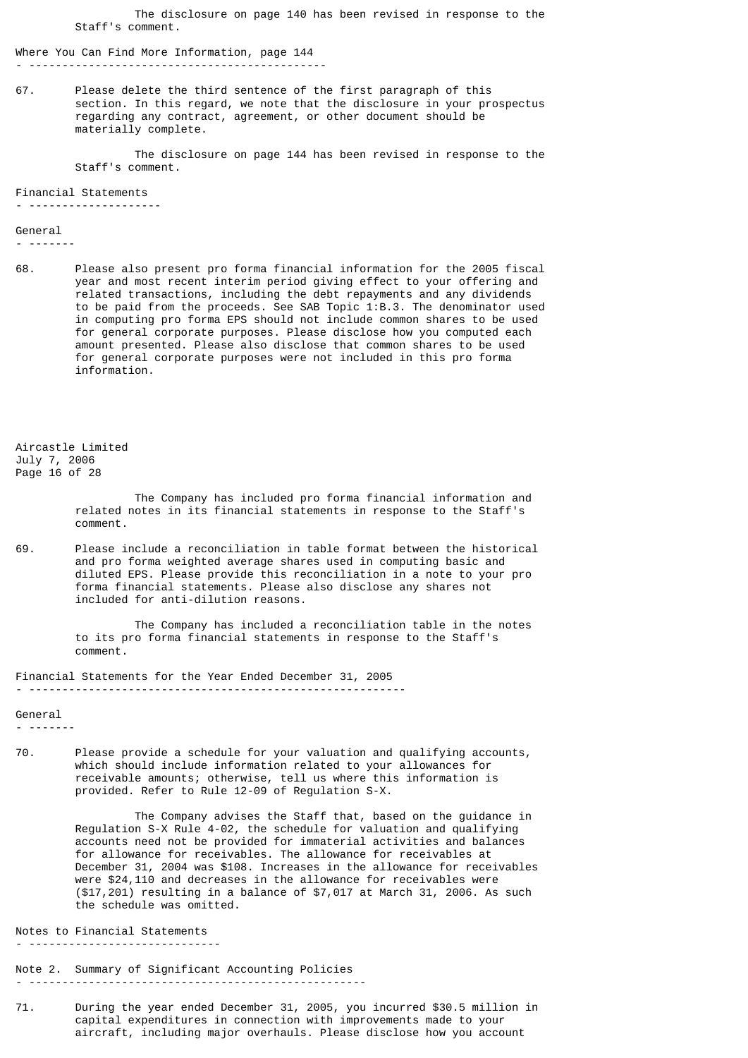The disclosure on page 140 has been revised in response to the Staff's comment.

Where You Can Find More Information, page 144 - ---------------------------------------------

67. Please delete the third sentence of the first paragraph of this section. In this regard, we note that the disclosure in your prospectus regarding any contract, agreement, or other document should be materially complete.

> The disclosure on page 144 has been revised in response to the Staff's comment.

Financial Statements

- --------------------

General

- -------

68. Please also present pro forma financial information for the 2005 fiscal year and most recent interim period giving effect to your offering and related transactions, including the debt repayments and any dividends to be paid from the proceeds. See SAB Topic 1:B.3. The denominator used in computing pro forma EPS should not include common shares to be used for general corporate purposes. Please disclose how you computed each amount presented. Please also disclose that common shares to be used for general corporate purposes were not included in this pro forma information.

Aircastle Limited July 7, 2006 Page 16 of 28

> The Company has included pro forma financial information and related notes in its financial statements in response to the Staff's comment.

69. Please include a reconciliation in table format between the historical and pro forma weighted average shares used in computing basic and diluted EPS. Please provide this reconciliation in a note to your pro forma financial statements. Please also disclose any shares not included for anti-dilution reasons.

> The Company has included a reconciliation table in the notes to its pro forma financial statements in response to the Staff's comment.

Financial Statements for the Year Ended December 31, 2005 - ---------------------------------------------------------

General

- -------

70. Please provide a schedule for your valuation and qualifying accounts, which should include information related to your allowances for receivable amounts; otherwise, tell us where this information is provided. Refer to Rule  $12-09$  of Regulation S-X.

> The Company advises the Staff that, based on the guidance in Regulation S-X Rule 4-02, the schedule for valuation and qualifying accounts need not be provided for immaterial activities and balances for allowance for receivables. The allowance for receivables at December 31, 2004 was \$108. Increases in the allowance for receivables were \$24,110 and decreases in the allowance for receivables were (\$17,201) resulting in a balance of \$7,017 at March 31, 2006. As such the schedule was omitted.

Notes to Financial Statements

- -----------------------------

Note 2. Summary of Significant Accounting Policies - ---------------------------------------------------

71. During the year ended December 31, 2005, you incurred \$30.5 million in capital expenditures in connection with improvements made to your aircraft, including major overhauls. Please disclose how you account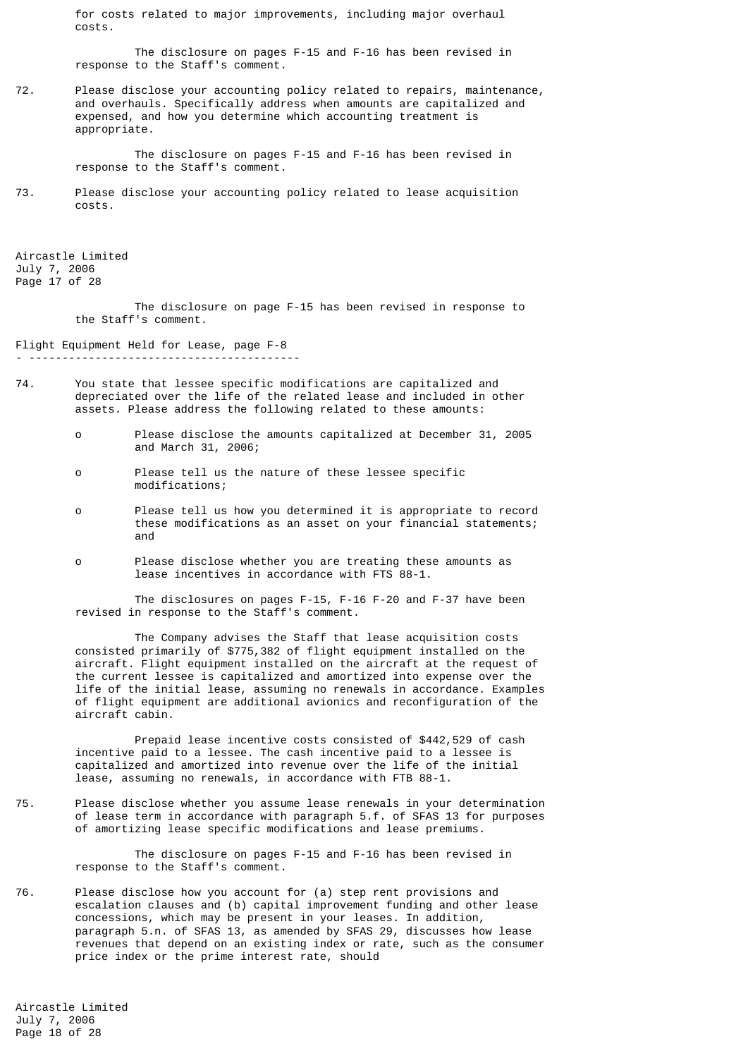for costs related to major improvements, including major overhaul costs.

 The disclosure on pages F-15 and F-16 has been revised in response to the Staff's comment.

72. Please disclose your accounting policy related to repairs, maintenance, and overhauls. Specifically address when amounts are capitalized and expensed, and how you determine which accounting treatment is appropriate.

> The disclosure on pages F-15 and F-16 has been revised in response to the Staff's comment.

73. Please disclose your accounting policy related to lease acquisition costs.

Aircastle Limited July 7, 2006 Page 17 of 28

> The disclosure on page F-15 has been revised in response to the Staff's comment.

Flight Equipment Held for Lease, page F-8

- -----------------------------------------
- 74. You state that lessee specific modifications are capitalized and depreciated over the life of the related lease and included in other assets. Please address the following related to these amounts:
	- o Please disclose the amounts capitalized at December 31, 2005 and March 31, 2006;
	- o Please tell us the nature of these lessee specific modifications;
- o Please tell us how you determined it is appropriate to record these modifications as an asset on your financial statements; and
	- o Please disclose whether you are treating these amounts as lease incentives in accordance with FTS 88-1.

 The disclosures on pages F-15, F-16 F-20 and F-37 have been revised in response to the Staff's comment.

 The Company advises the Staff that lease acquisition costs consisted primarily of \$775,382 of flight equipment installed on the aircraft. Flight equipment installed on the aircraft at the request of the current lessee is capitalized and amortized into expense over the life of the initial lease, assuming no renewals in accordance. Examples of flight equipment are additional avionics and reconfiguration of the aircraft cabin.

 Prepaid lease incentive costs consisted of \$442,529 of cash incentive paid to a lessee. The cash incentive paid to a lessee is capitalized and amortized into revenue over the life of the initial lease, assuming no renewals, in accordance with FTB 88-1.

75. Please disclose whether you assume lease renewals in your determination of lease term in accordance with paragraph 5.f. of SFAS 13 for purposes of amortizing lease specific modifications and lease premiums.

> The disclosure on pages F-15 and F-16 has been revised in response to the Staff's comment.

76. Please disclose how you account for (a) step rent provisions and escalation clauses and (b) capital improvement funding and other lease concessions, which may be present in your leases. In addition, paragraph 5.n. of SFAS 13, as amended by SFAS 29, discusses how lease revenues that depend on an existing index or rate, such as the consumer price index or the prime interest rate, should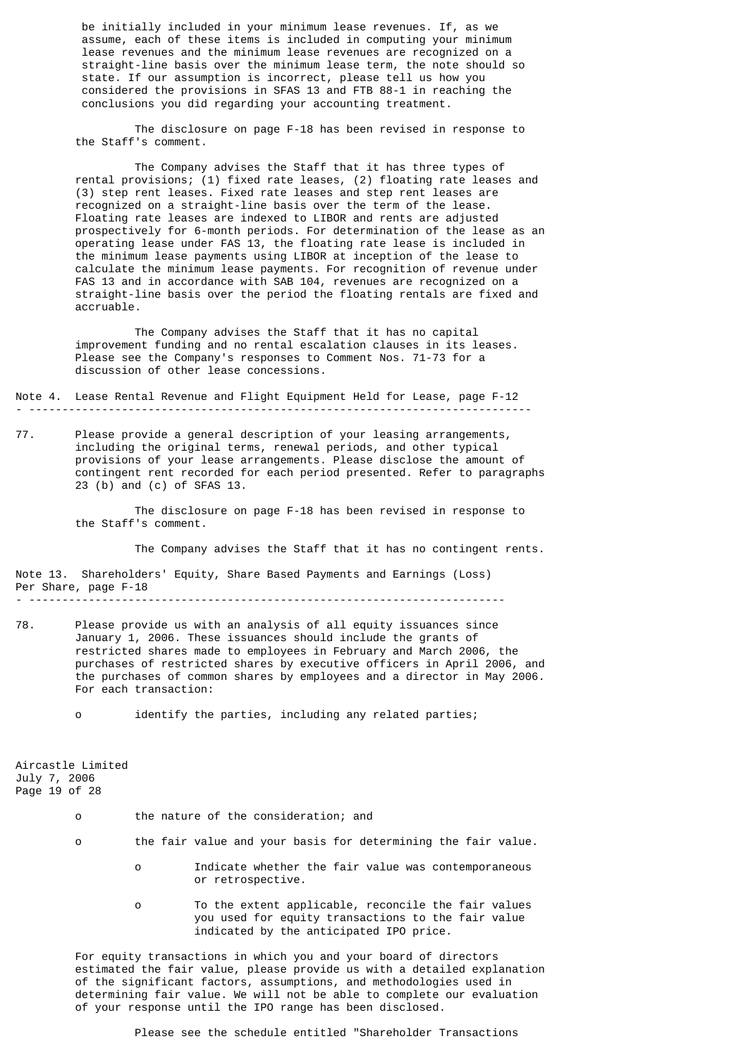be initially included in your minimum lease revenues. If, as we assume, each of these items is included in computing your minimum lease revenues and the minimum lease revenues are recognized on a straight-line basis over the minimum lease term, the note should so state. If our assumption is incorrect, please tell us how you considered the provisions in SFAS 13 and FTB 88-1 in reaching the conclusions you did regarding your accounting treatment.

 The disclosure on page F-18 has been revised in response to the Staff's comment.

 The Company advises the Staff that it has three types of rental provisions; (1) fixed rate leases, (2) floating rate leases and (3) step rent leases. Fixed rate leases and step rent leases are recognized on a straight-line basis over the term of the lease. Floating rate leases are indexed to LIBOR and rents are adjusted prospectively for 6-month periods. For determination of the lease as an operating lease under FAS 13, the floating rate lease is included in the minimum lease payments using LIBOR at inception of the lease to calculate the minimum lease payments. For recognition of revenue under FAS 13 and in accordance with SAB 104, revenues are recognized on a straight-line basis over the period the floating rentals are fixed and accruable.

 The Company advises the Staff that it has no capital improvement funding and no rental escalation clauses in its leases. Please see the Company's responses to Comment Nos. 71-73 for a discussion of other lease concessions.

Note 4. Lease Rental Revenue and Flight Equipment Held for Lease, page F-12 - ----------------------------------------------------------------------------

77. Please provide a general description of your leasing arrangements, including the original terms, renewal periods, and other typical provisions of your lease arrangements. Please disclose the amount of contingent rent recorded for each period presented. Refer to paragraphs 23 (b) and (c) of SFAS 13.

> The disclosure on page F-18 has been revised in response to the Staff's comment.

> > The Company advises the Staff that it has no contingent rents.

Note 13. Shareholders' Equity, Share Based Payments and Earnings (Loss) Per Share, page F-18 - ------------------------------------------------------------------------

- 78. Please provide us with an analysis of all equity issuances since January 1, 2006. These issuances should include the grants of restricted shares made to employees in February and March 2006, the purchases of restricted shares by executive officers in April 2006, and the purchases of common shares by employees and a director in May 2006. For each transaction:
	- o identify the parties, including any related parties;

Aircastle Limited July 7, 2006 Page 19 of 28

- o the nature of the consideration; and
- o the fair value and your basis for determining the fair value.
	- Indicate whether the fair value was contemporaneous or retrospective.
	- o To the extent applicable, reconcile the fair values you used for equity transactions to the fair value indicated by the anticipated IPO price.

 For equity transactions in which you and your board of directors estimated the fair value, please provide us with a detailed explanation of the significant factors, assumptions, and methodologies used in determining fair value. We will not be able to complete our evaluation of your response until the IPO range has been disclosed.

Please see the schedule entitled "Shareholder Transactions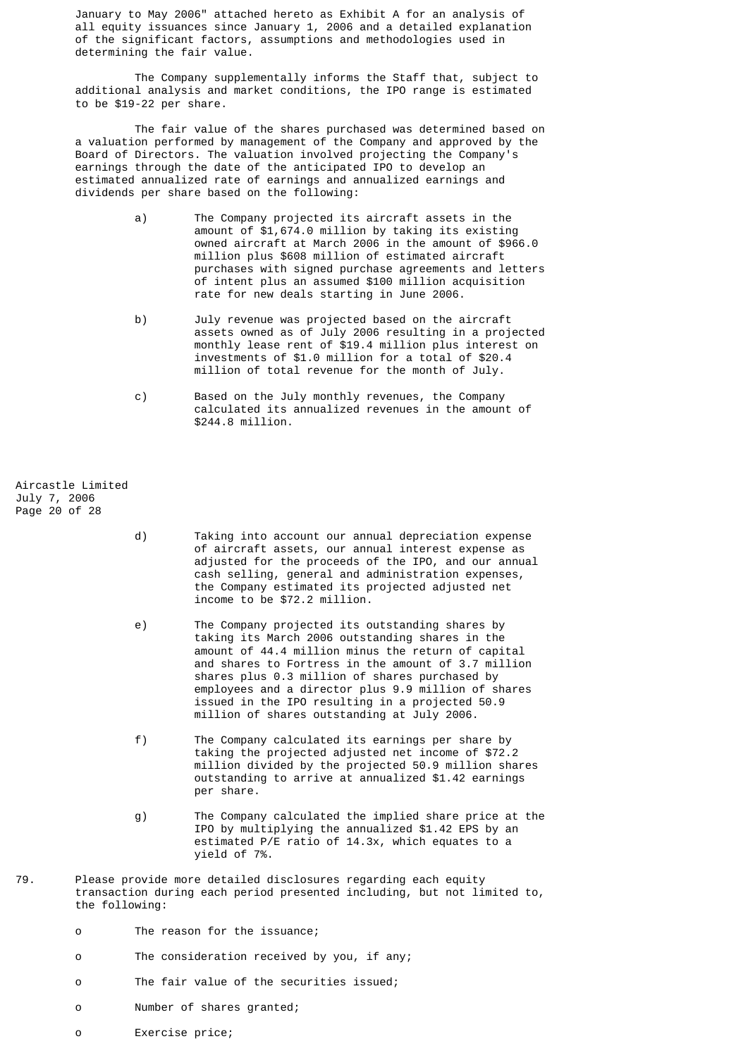January to May 2006" attached hereto as Exhibit A for an analysis of all equity issuances since January 1, 2006 and a detailed explanation of the significant factors, assumptions and methodologies used in determining the fair value.

 The Company supplementally informs the Staff that, subject to additional analysis and market conditions, the IPO range is estimated to be \$19-22 per share.

 The fair value of the shares purchased was determined based on a valuation performed by management of the Company and approved by the Board of Directors. The valuation involved projecting the Company's earnings through the date of the anticipated IPO to develop an estimated annualized rate of earnings and annualized earnings and dividends per share based on the following:

- a) The Company projected its aircraft assets in the amount of \$1,674.0 million by taking its existing owned aircraft at March 2006 in the amount of \$966.0 million plus \$608 million of estimated aircraft purchases with signed purchase agreements and letters of intent plus an assumed \$100 million acquisition rate for new deals starting in June 2006.
- b) July revenue was projected based on the aircraft assets owned as of July 2006 resulting in a projected monthly lease rent of \$19.4 million plus interest on investments of \$1.0 million for a total of \$20.4 million of total revenue for the month of July.
- c) Based on the July monthly revenues, the Company calculated its annualized revenues in the amount of \$244.8 million.

Aircastle Limited July 7, 2006 Page 20 of 28

- d) Taking into account our annual depreciation expense of aircraft assets, our annual interest expense as adjusted for the proceeds of the IPO, and our annual cash selling, general and administration expenses, the Company estimated its projected adjusted net income to be \$72.2 million.
- e) The Company projected its outstanding shares by taking its March 2006 outstanding shares in the amount of 44.4 million minus the return of capital and shares to Fortress in the amount of 3.7 million shares plus 0.3 million of shares purchased by employees and a director plus 9.9 million of shares issued in the IPO resulting in a projected 50.9 million of shares outstanding at July 2006.
- f) The Company calculated its earnings per share by taking the projected adjusted net income of \$72.2 million divided by the projected 50.9 million shares outstanding to arrive at annualized \$1.42 earnings per share.
- g) The Company calculated the implied share price at the IPO by multiplying the annualized \$1.42 EPS by an estimated P/E ratio of 14.3x, which equates to a yield of 7%.
- 79. Please provide more detailed disclosures regarding each equity transaction during each period presented including, but not limited to, the following:
	- o The reason for the issuance;
	- o The consideration received by you, if any;
	- o The fair value of the securities issued;
	- o Number of shares granted;
	- o Exercise price;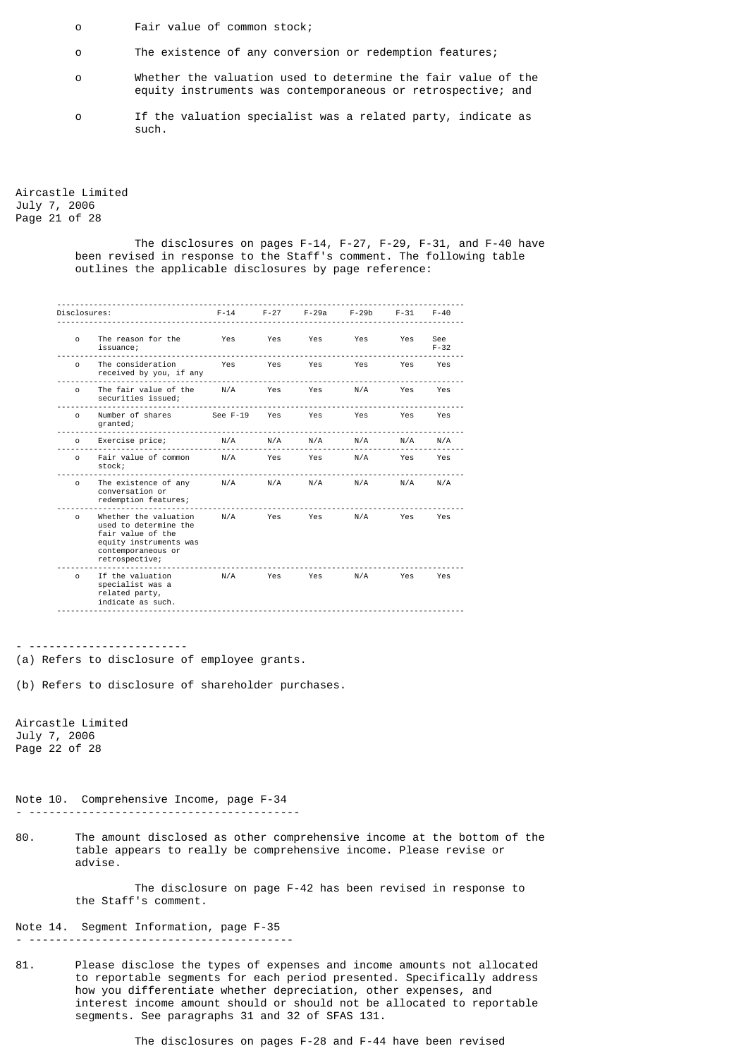- o Fair value of common stock;
- o The existence of any conversion or redemption features;
- o Whether the valuation used to determine the fair value of the equity instruments was contemporaneous or retrospective; and
- o If the valuation specialist was a related party, indicate as such.

Aircastle Limited July 7, 2006 Page 21 of 28

> The disclosures on pages F-14, F-27, F-29, F-31, and F-40 have been revised in response to the Staff's comment. The following table outlines the applicable disclosures by page reference:

|              | Disclosures:                                                                                                                                                    | F-14 F-27 F-29a F-29b                                       |  |  | F-31     | $F - 40$ |  |
|--------------|-----------------------------------------------------------------------------------------------------------------------------------------------------------------|-------------------------------------------------------------|--|--|----------|----------|--|
|              | o The reason for the Yes Yes Yes Yes Yes Yes See<br>issuance;                                                                                                   |                                                             |  |  | $F - 32$ |          |  |
|              | o The consideration Yes Yes Yes Yes Yes Yes Yes<br>received by you, if any                                                                                      |                                                             |  |  |          |          |  |
|              |                                                                                                                                                                 |                                                             |  |  |          |          |  |
|              | o Number of shares See F-19 Yes Yes Yes Yes Yes Yes<br>granted;<br>.                                                                                            |                                                             |  |  |          |          |  |
|              | 0 Exercise price; $N/A$ $N/A$ $N/A$ $N/A$ $N/A$ $N/A$ $N/A$                                                                                                     |                                                             |  |  |          |          |  |
|              | o Fairvalue.of.common N/A Yes Yes N/A Yes Yes<br>stock;                                                                                                         |                                                             |  |  |          |          |  |
|              | o The existence of any $N/A$ N/A N/A N/A N/A N/A N/A<br>conversation or<br>redemption features;                                                                 |                                                             |  |  |          |          |  |
|              | o Whether the valuation M/A Yes Yes N/A Yes Yes<br>used to determine the<br>fair value of the<br>equity instruments was<br>contemporaneous or<br>retrospective; |                                                             |  |  |          |          |  |
|              | $\Omega$<br>specialist was a<br>related party,<br>indicate as such.                                                                                             |                                                             |  |  |          | Yes      |  |
|              | (b) Refers to disclosure of shareholder purchases.<br>Aircastle Limited                                                                                         |                                                             |  |  |          |          |  |
| July 7, 2006 | Page 22 of 28                                                                                                                                                   |                                                             |  |  |          |          |  |
|              | Note 10. Comprehensive Income, page F-34                                                                                                                        |                                                             |  |  |          |          |  |
| 80.          | The amount disclosed as other comprehensive income at the bottom of the<br>table appears to really be comprehensive income. Please revise or<br>advise.         |                                                             |  |  |          |          |  |
|              | the Staff's comment.                                                                                                                                            | The disclosure on page F-42 has been revised in response to |  |  |          |          |  |
|              | Note 14. Segment Information, page F-35                                                                                                                         |                                                             |  |  |          |          |  |
| 81.          | Please disclose the types of expenses and income amounts not allocated<br>to reportable segments for each period presented. Specifically address                |                                                             |  |  |          |          |  |

interest income amount should or should not be allocated to reportable

how you differentiate whether depreciation, other expenses, and

segments. See paragraphs 31 and 32 of SFAS 131.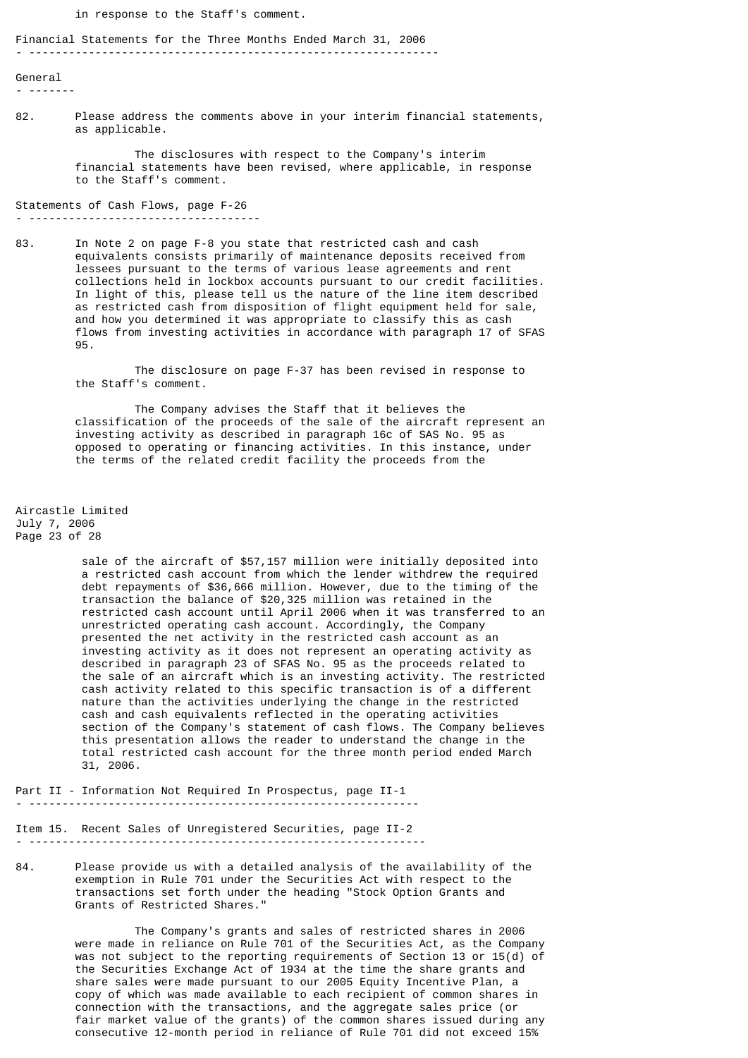in response to the Staff's comment.

Financial Statements for the Three Months Ended March 31, 2006

- --------------------------------------------------------------

General

- -------

82. Please address the comments above in your interim financial statements, as applicable.

> The disclosures with respect to the Company's interim financial statements have been revised, where applicable, in response to the Staff's comment.

Statements of Cash Flows, page F-26 - -----------------------------------

83. In Note 2 on page F-8 you state that restricted cash and cash equivalents consists primarily of maintenance deposits received from lessees pursuant to the terms of various lease agreements and rent collections held in lockbox accounts pursuant to our credit facilities. In light of this, please tell us the nature of the line item described as restricted cash from disposition of flight equipment held for sale, and how you determined it was appropriate to classify this as cash flows from investing activities in accordance with paragraph 17 of SFAS 95.

> The disclosure on page F-37 has been revised in response to the Staff's comment.

 The Company advises the Staff that it believes the classification of the proceeds of the sale of the aircraft represent an investing activity as described in paragraph 16c of SAS No. 95 as opposed to operating or financing activities. In this instance, under the terms of the related credit facility the proceeds from the

Aircastle Limited July 7, 2006 Page 23 of 28

 sale of the aircraft of \$57,157 million were initially deposited into a restricted cash account from which the lender withdrew the required debt repayments of \$36,666 million. However, due to the timing of the transaction the balance of \$20,325 million was retained in the restricted cash account until April 2006 when it was transferred to an unrestricted operating cash account. Accordingly, the Company presented the net activity in the restricted cash account as an investing activity as it does not represent an operating activity as described in paragraph 23 of SFAS No. 95 as the proceeds related to the sale of an aircraft which is an investing activity. The restricted cash activity related to this specific transaction is of a different nature than the activities underlying the change in the restricted cash and cash equivalents reflected in the operating activities section of the Company's statement of cash flows. The Company believes this presentation allows the reader to understand the change in the total restricted cash account for the three month period ended March 31, 2006.

Part II - Information Not Required In Prospectus, page II-1 - -----------------------------------------------------------

Item 15. Recent Sales of Unregistered Securities, page II-2 - ------------------------------------------------------------

84. Please provide us with a detailed analysis of the availability of the exemption in Rule 701 under the Securities Act with respect to the transactions set forth under the heading "Stock Option Grants and Grants of Restricted Shares."

> The Company's grants and sales of restricted shares in 2006 were made in reliance on Rule 701 of the Securities Act, as the Company was not subject to the reporting requirements of Section 13 or 15(d) of the Securities Exchange Act of 1934 at the time the share grants and share sales were made pursuant to our 2005 Equity Incentive Plan, a copy of which was made available to each recipient of common shares in connection with the transactions, and the aggregate sales price (or fair market value of the grants) of the common shares issued during any consecutive 12-month period in reliance of Rule 701 did not exceed 15%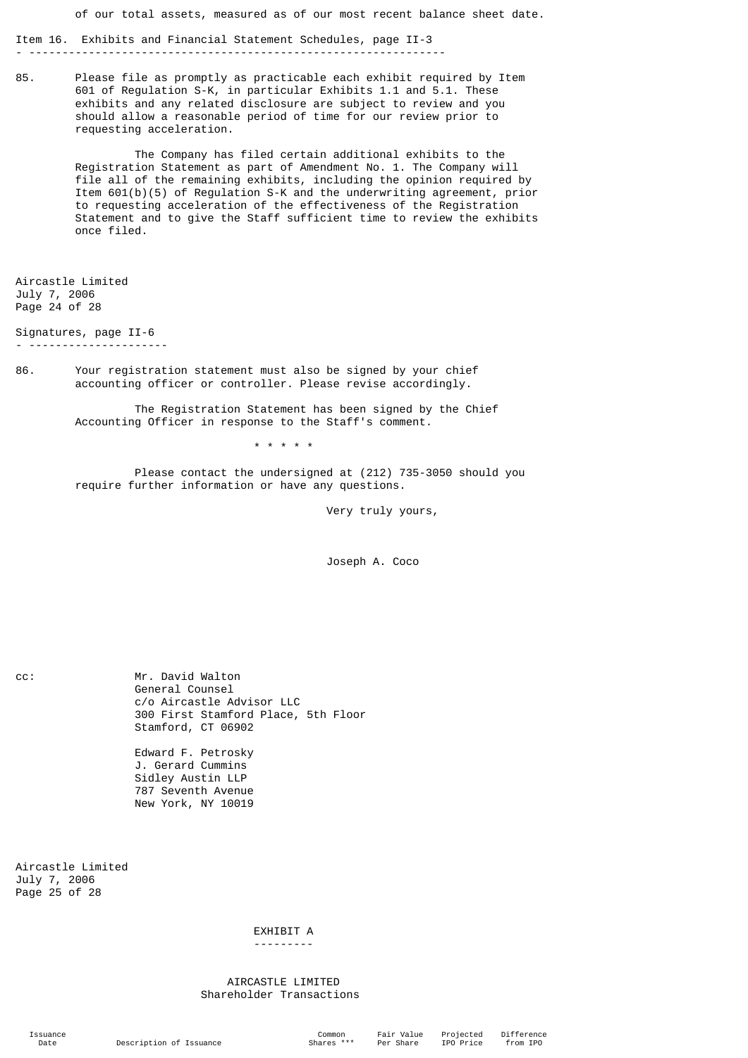of our total assets, measured as of our most recent balance sheet date.

Item 16. Exhibits and Financial Statement Schedules, page II-3 - ---------------------------------------------------------------

85. Please file as promptly as practicable each exhibit required by Item 601 of Regulation S-K, in particular Exhibits 1.1 and 5.1. These exhibits and any related disclosure are subject to review and you should allow a reasonable period of time for our review prior to requesting acceleration.

> The Company has filed certain additional exhibits to the Registration Statement as part of Amendment No. 1. The Company will file all of the remaining exhibits, including the opinion required by Item 601(b)(5) of Regulation S-K and the underwriting agreement, prior to requesting acceleration of the effectiveness of the Registration Statement and to give the Staff sufficient time to review the exhibits once filed.

Aircastle Limited July 7, 2006 Page 24 of 28

Signatures, page II-6

- ---------------------

86. Your registration statement must also be signed by your chief accounting officer or controller. Please revise accordingly.

> The Registration Statement has been signed by the Chief Accounting Officer in response to the Staff's comment.

> > \* \* \* \* \*

 Please contact the undersigned at (212) 735-3050 should you require further information or have any questions.

Very truly yours,

Joseph A. Coco

cc: Mr. David Walton General Counsel c/o Aircastle Advisor LLC 300 First Stamford Place, 5th Floor Stamford, CT 06902

> Edward F. Petrosky J. Gerard Cummins Sidley Austin LLP 787 Seventh Avenue New York, NY 10019

Aircastle Limited July 7, 2006 Page 25 of 28

> EXHIBIT A ---------

 AIRCASTLE LIMITED Shareholder Transactions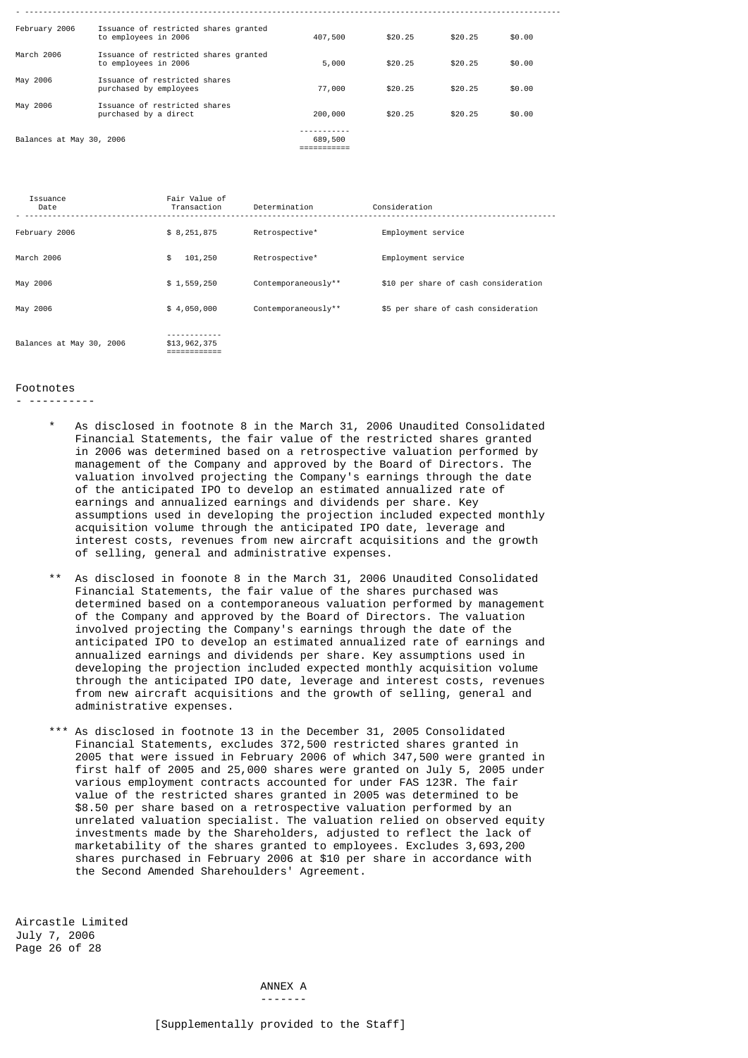| February 2006            | Issuance of restricted shares granted<br>to employees in 2006 | 407,500 | \$20.25 | \$20.25 | \$0.00 |
|--------------------------|---------------------------------------------------------------|---------|---------|---------|--------|
| March 2006               | Issuance of restricted shares granted<br>to employees in 2006 | 5,000   | \$20.25 | \$20.25 | \$0.00 |
| May 2006                 | Issuance of restricted shares<br>purchased by employees       | 77,000  | \$20.25 | \$20.25 | \$0.00 |
| May 2006                 | Issuance of restricted shares<br>purchased by a direct        | 200,000 | \$20.25 | \$20.25 | \$0.00 |
| Balances at May 30, 2006 |                                                               | 689,500 |         |         |        |

| Issuance<br>Date         | Fair Value of<br>Transaction | Determination       | Consideration                        |
|--------------------------|------------------------------|---------------------|--------------------------------------|
| February 2006            | \$8,251,875                  | Retrospective*      | Employment service                   |
| March 2006               | 101,250<br>\$                | Retrospective*      | Employment service                   |
| May 2006                 | \$1,559,250                  | Contemporaneously** | \$10 per share of cash consideration |
| May 2006                 | \$4,050,000                  | Contemporaneously** | \$5 per share of cash consideration  |
| Balances at May 30, 2006 | \$13,962,375                 |                     |                                      |

## Footnotes

- ----------

- As disclosed in footnote 8 in the March 31, 2006 Unaudited Consolidated Financial Statements, the fair value of the restricted shares granted in 2006 was determined based on a retrospective valuation performed by management of the Company and approved by the Board of Directors. The valuation involved projecting the Company's earnings through the date of the anticipated IPO to develop an estimated annualized rate of earnings and annualized earnings and dividends per share. Key assumptions used in developing the projection included expected monthly acquisition volume through the anticipated IPO date, leverage and interest costs, revenues from new aircraft acquisitions and the growth of selling, general and administrative expenses.
- As disclosed in foonote 8 in the March 31, 2006 Unaudited Consolidated Financial Statements, the fair value of the shares purchased was determined based on a contemporaneous valuation performed by management of the Company and approved by the Board of Directors. The valuation involved projecting the Company's earnings through the date of the anticipated IPO to develop an estimated annualized rate of earnings and annualized earnings and dividends per share. Key assumptions used in developing the projection included expected monthly acquisition volume through the anticipated IPO date, leverage and interest costs, revenues from new aircraft acquisitions and the growth of selling, general and administrative expenses.
- \*\*\* As disclosed in footnote 13 in the December 31, 2005 Consolidated Financial Statements, excludes 372,500 restricted shares granted in 2005 that were issued in February 2006 of which 347,500 were granted in first half of 2005 and 25,000 shares were granted on July 5, 2005 under various employment contracts accounted for under FAS 123R. The fair value of the restricted shares granted in 2005 was determined to be \$8.50 per share based on a retrospective valuation performed by an unrelated valuation specialist. The valuation relied on observed equity investments made by the Shareholders, adjusted to reflect the lack of marketability of the shares granted to employees. Excludes 3,693,200 shares purchased in February 2006 at \$10 per share in accordance with the Second Amended Sharehoulders' Agreement.

Aircastle Limited July 7, 2006 Page 26 of 28

 ANNEX A -------